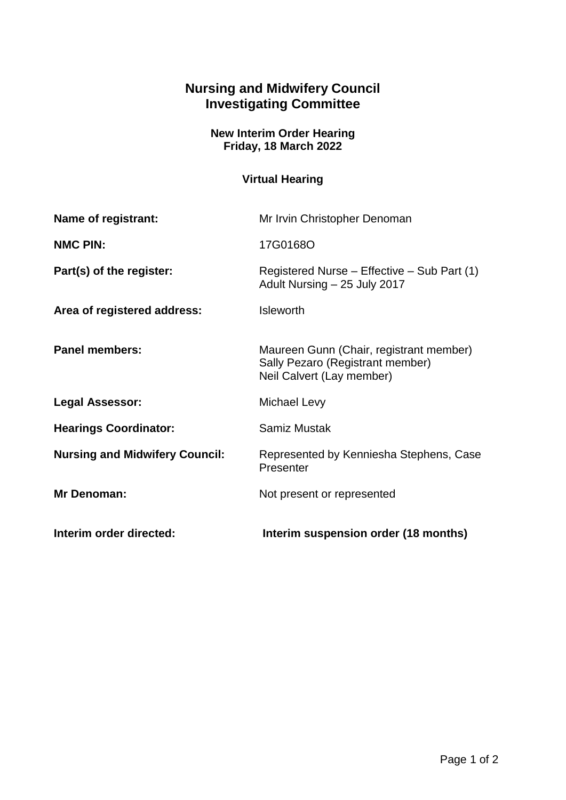## **Nursing and Midwifery Council Investigating Committee**

## **New Interim Order Hearing Friday, 18 March 2022**

## **Virtual Hearing**

| Interim order directed:               | Interim suspension order (18 months)                                                                     |
|---------------------------------------|----------------------------------------------------------------------------------------------------------|
| Mr Denoman:                           | Not present or represented                                                                               |
| <b>Nursing and Midwifery Council:</b> | Represented by Kenniesha Stephens, Case<br>Presenter                                                     |
| <b>Hearings Coordinator:</b>          | <b>Samiz Mustak</b>                                                                                      |
| <b>Legal Assessor:</b>                | Michael Levy                                                                                             |
| <b>Panel members:</b>                 | Maureen Gunn (Chair, registrant member)<br>Sally Pezaro (Registrant member)<br>Neil Calvert (Lay member) |
| Area of registered address:           | <b>Isleworth</b>                                                                                         |
| Part(s) of the register:              | Registered Nurse – Effective – Sub Part (1)<br>Adult Nursing - 25 July 2017                              |
| <b>NMC PIN:</b>                       | 17G0168O                                                                                                 |
| <b>Name of registrant:</b>            | Mr Irvin Christopher Denoman                                                                             |